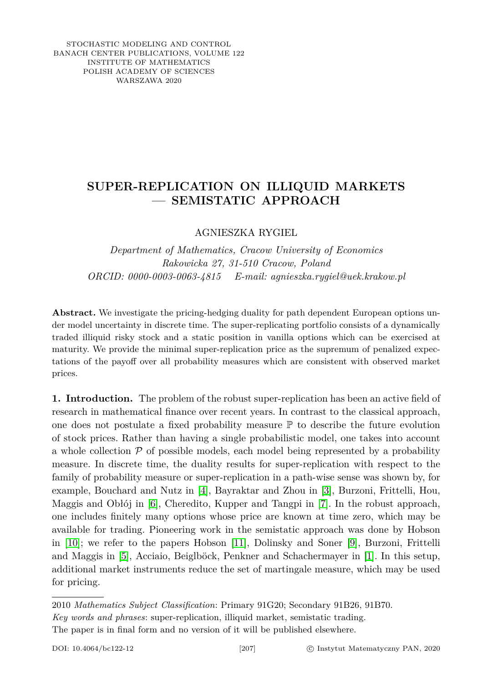STOCHASTIC MODELING AND CONTROL BANACH CENTER PUBLICATIONS, VOLUME 122 INSTITUTE OF MATHEMATICS POLISH ACADEMY OF SCIENCES WARSZAWA 2020

## **SUPER-REPLICATION ON ILLIQUID MARKETS — SEMISTATIC APPROACH**

AGNIESZKA RYGIEL

*Department of Mathematics, Cracow University of Economics Rakowicka 27, 31-510 Cracow, Poland ORCID: 0000-0003-0063-4815 E-mail: agnieszka.rygiel@uek.krakow.pl*

**Abstract.** We investigate the pricing-hedging duality for path dependent European options under model uncertainty in discrete time. The super-replicating portfolio consists of a dynamically traded illiquid risky stock and a static position in vanilla options which can be exercised at maturity. We provide the minimal super-replication price as the supremum of penalized expectations of the payoff over all probability measures which are consistent with observed market prices.

**1. Introduction.** The problem of the robust super-replication has been an active field of research in mathematical finance over recent years. In contrast to the classical approach, one does not postulate a fixed probability measure  $\mathbb P$  to describe the future evolution of stock prices. Rather than having a single probabilistic model, one takes into account a whole collection  $\mathcal P$  of possible models, each model being represented by a probability measure. In discrete time, the duality results for super-replication with respect to the family of probability measure or super-replication in a path-wise sense was shown by, for example, Bouchard and Nutz in [\[4\]](#page-11-0), Bayraktar and Zhou in [\[3\]](#page-11-1), Burzoni, Frittelli, Hou, Maggis and Obłój in [\[6\]](#page-11-2), Cheredito, Kupper and Tangpi in [\[7\]](#page-11-3). In the robust approach, one includes finitely many options whose price are known at time zero, which may be available for trading. Pioneering work in the semistatic approach was done by Hobson in [\[10\]](#page-11-4); we refer to the papers Hobson [\[11\]](#page-11-5), Dolinsky and Soner [\[9\]](#page-11-6), Burzoni, Frittelli and Maggis in [\[5\]](#page-11-7), Acciaio, Beiglböck, Penkner and Schachermayer in [\[1\]](#page-11-8). In this setup, additional market instruments reduce the set of martingale measure, which may be used for pricing.

2010 *Mathematics Subject Classification*: Primary 91G20; Secondary 91B26, 91B70. *Key words and phrases*: super-replication, illiquid market, semistatic trading.

The paper is in final form and no version of it will be published elsewhere.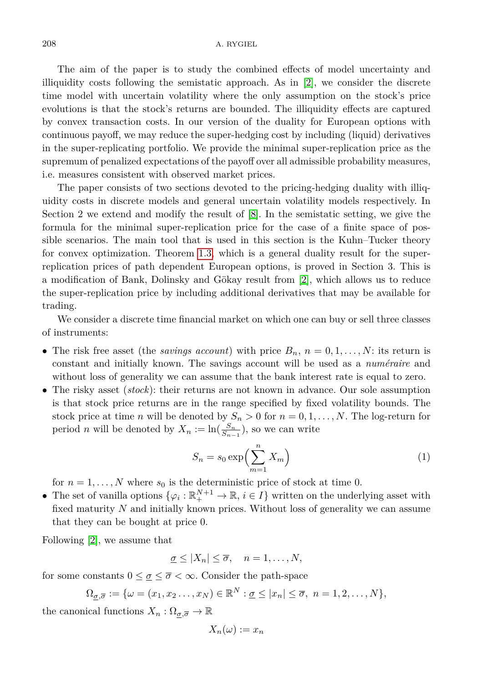The aim of the paper is to study the combined effects of model uncertainty and illiquidity costs following the semistatic approach. As in [\[2\]](#page-11-9), we consider the discrete time model with uncertain volatility where the only assumption on the stock's price evolutions is that the stock's returns are bounded. The illiquidity effects are captured by convex transaction costs. In our version of the duality for European options with continuous payoff, we may reduce the super-hedging cost by including (liquid) derivatives in the super-replicating portfolio. We provide the minimal super-replication price as the supremum of penalized expectations of the payoff over all admissible probability measures, i.e. measures consistent with observed market prices.

The paper consists of two sections devoted to the pricing-hedging duality with illiquidity costs in discrete models and general uncertain volatility models respectively. In Section 2 we extend and modify the result of [\[8\]](#page-11-10). In the semistatic setting, we give the formula for the minimal super-replication price for the case of a finite space of possible scenarios. The main tool that is used in this section is the Kuhn–Tucker theory for convex optimization. Theorem [1.3,](#page-3-0) which is a general duality result for the superreplication prices of path dependent European options, is proved in Section 3. This is a modification of Bank, Dolinsky and Gökay result from [\[2\]](#page-11-9), which allows us to reduce the super-replication price by including additional derivatives that may be available for trading.

We consider a discrete time financial market on which one can buy or sell three classes of instruments:

- The risk free asset (the *savings account*) with price  $B_n$ ,  $n = 0, 1, \ldots, N$ : its return is constant and initially known. The savings account will be used as a *numéraire* and without loss of generality we can assume that the bank interest rate is equal to zero.
- The risky asset (*stock*): their returns are not known in advance. Our sole assumption is that stock price returns are in the range specified by fixed volatility bounds. The stock price at time *n* will be denoted by  $S_n > 0$  for  $n = 0, 1, \ldots, N$ . The log-return for period *n* will be denoted by  $X_n := \ln(\frac{S_n}{S_{n-1}})$ , so we can write

<span id="page-1-0"></span>
$$
S_n = s_0 \exp\left(\sum_{m=1}^n X_m\right) \tag{1}
$$

for  $n = 1, \ldots, N$  where  $s_0$  is the deterministic price of stock at time 0.

• The set of vanilla options  $\{\varphi_i : \mathbb{R}_+^{N+1} \to \mathbb{R}, i \in I\}$  written on the underlying asset with fixed maturity *N* and initially known prices. Without loss of generality we can assume that they can be bought at price 0.

Following [\[2\]](#page-11-9), we assume that

$$
\underline{\sigma} \le |X_n| \le \overline{\sigma}, \quad n = 1, \dots, N,
$$

for some constants  $0 \leq \sigma \leq \overline{\sigma} < \infty$ . Consider the path-space

$$
\Omega_{\sigma,\overline{\sigma}} := \{ \omega = (x_1, x_2 \dots, x_N) \in \mathbb{R}^N : \underline{\sigma} \le |x_n| \le \overline{\sigma}, \ n = 1, 2, \dots, N \},
$$

the canonical functions  $X_n: \Omega_{\underline{\sigma}, \overline{\sigma}} \to \mathbb{R}$ 

$$
X_n(\omega) := x_n
$$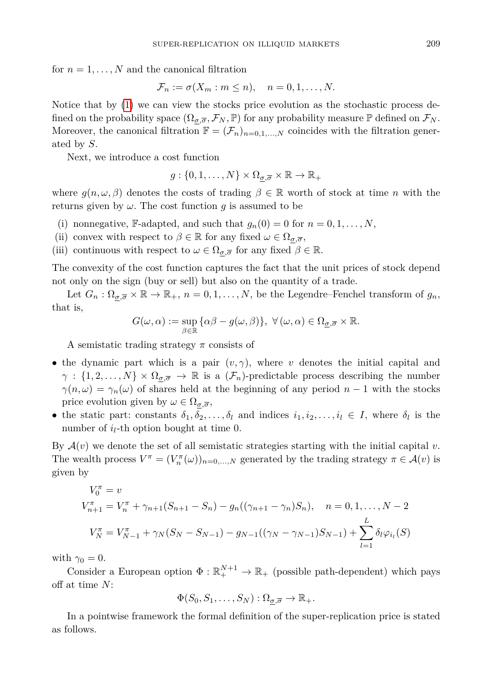for  $n = 1, \ldots, N$  and the canonical filtration

$$
\mathcal{F}_n := \sigma(X_m : m \le n), \quad n = 0, 1, \dots, N.
$$

Notice that by [\(1\)](#page-1-0) we can view the stocks price evolution as the stochastic process defined on the probability space  $(\Omega_{\sigma,\overline{\sigma}},\mathcal{F}_N,\mathbb{P})$  for any probability measure  $\mathbb P$  defined on  $\mathcal{F}_N$ . Moreover, the canonical filtration  $\mathbb{F} = (\mathcal{F}_n)_{n=0,1,\dots,N}$  coincides with the filtration generated by *S*.

Next, we introduce a cost function

$$
g: \{0, 1, \dots, N\} \times \Omega_{\sigma, \overline{\sigma}} \times \mathbb{R} \to \mathbb{R}_+
$$

where  $g(n, \omega, \beta)$  denotes the costs of trading  $\beta \in \mathbb{R}$  worth of stock at time *n* with the returns given by  $\omega$ . The cost function *g* is assumed to be

(i) nonnegative, **F**-adapted, and such that  $g_n(0) = 0$  for  $n = 0, 1, \ldots, N$ ,

(ii) convex with respect to  $\beta \in \mathbb{R}$  for any fixed  $\omega \in \Omega_{\sigma,\overline{\sigma}}$ ,

(iii) continuous with respect to  $\omega \in \Omega_{\underline{\sigma}, \overline{\sigma}}$  for any fixed  $\beta \in \mathbb{R}$ .

The convexity of the cost function captures the fact that the unit prices of stock depend not only on the sign (buy or sell) but also on the quantity of a trade.

Let  $G_n: \Omega_{\underline{\sigma},\overline{\sigma}} \times \mathbb{R} \to \mathbb{R}_+$ ,  $n = 0, 1, \ldots, N$ , be the Legendre–Fenchel transform of  $g_n$ , that is,

$$
G(\omega,\alpha):=\sup_{\beta\in\mathbb{R}}\{\alpha\beta-g(\omega,\beta)\},\ \forall\, (\omega,\alpha)\in \Omega_{\underline{\sigma},\overline{\sigma}}\times\mathbb{R}.
$$

A semistatic trading strategy *π* consists of

- the dynamic part which is a pair  $(v, \gamma)$ , where *v* denotes the initial capital and  $\gamma : \{1, 2, \ldots, N\} \times \Omega_{\sigma, \overline{\sigma}} \to \mathbb{R}$  is a  $(\mathcal{F}_n)$ -predictable process describing the number  $\gamma(n,\omega) = \gamma_n(\omega)$  of shares held at the beginning of any period  $n-1$  with the stocks price evolution given by  $\omega \in \Omega_{\sigma,\overline{\sigma}}$ ,
- the static part: constants  $\delta_1, \delta_2, \ldots, \delta_l$  and indices  $i_1, i_2, \ldots, i_l \in I$ , where  $\delta_l$  is the number of  $i_l$ -th option bought at time 0.

By  $A(v)$  we denote the set of all semistatic strategies starting with the initial capital  $v$ . The wealth process  $V^{\pi} = (V_n^{\pi}(\omega))_{n=0,\dots,N}$  generated by the trading strategy  $\pi \in \mathcal{A}(v)$  is given by

$$
V_0^{\pi} = v
$$
  
\n
$$
V_{n+1}^{\pi} = V_n^{\pi} + \gamma_{n+1}(S_{n+1} - S_n) - g_n((\gamma_{n+1} - \gamma_n)S_n), \quad n = 0, 1, ..., N-2
$$
  
\n
$$
V_N^{\pi} = V_{N-1}^{\pi} + \gamma_N(S_N - S_{N-1}) - g_{N-1}((\gamma_N - \gamma_{N-1})S_{N-1}) + \sum_{l=1}^{L} \delta_l \varphi_{i_l}(S)
$$

with  $\gamma_0 = 0$ .

Consider a European option  $\Phi : \mathbb{R}^{N+1}_+ \to \mathbb{R}_+$  (possible path-dependent) which pays off at time *N*:

$$
\Phi(S_0, S_1, \ldots, S_N) : \Omega_{\sigma, \overline{\sigma}} \to \mathbb{R}_+.
$$

In a pointwise framework the formal definition of the super-replication price is stated as follows.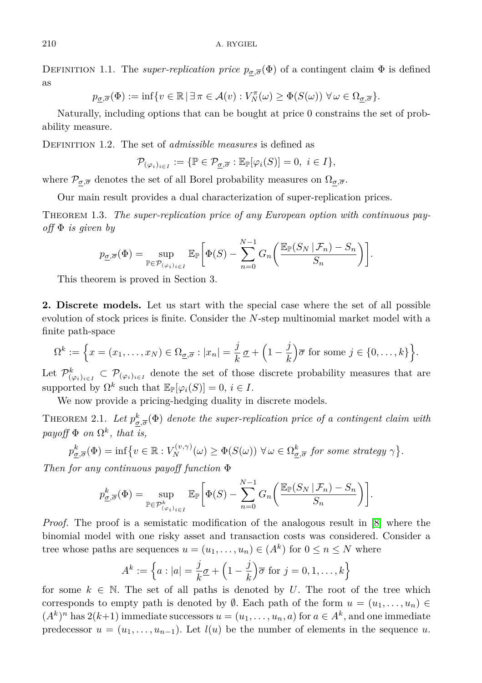DEFINITION 1.1. The *super-replication price*  $p_{\sigma,\overline{\sigma}}(\Phi)$  of a contingent claim  $\Phi$  is defined as

 $p_{\underline{\sigma},\overline{\sigma}}(\Phi) := \inf \{ v \in \mathbb{R} \mid \exists \pi \in \mathcal{A}(v) : V_N^{\pi}(\omega) \ge \Phi(S(\omega)) \ \forall \omega \in \Omega_{\underline{\sigma},\overline{\sigma}} \}.$ 

Naturally, including options that can be bought at price 0 constrains the set of probability measure.

DEFINITION 1.2. The set of *admissible measures* is defined as

$$
\mathcal{P}_{(\varphi_i)_{i\in I}}:=\{\mathbb{P}\in \mathcal{P}_{\underline{\sigma},\overline{\sigma}}:\mathbb{E}_{\mathbb{P}}[\varphi_i(S)]=0,\ i\in I\},
$$

where  $\mathcal{P}_{\underline{\sigma},\overline{\sigma}}$  denotes the set of all Borel probability measures on  $\Omega_{\underline{\sigma},\overline{\sigma}}$ .

Our main result provides a dual characterization of super-replication prices.

<span id="page-3-0"></span>Theorem 1.3. *The super-replication price of any European option with continuous payoff* Φ *is given by*

$$
p_{\underline{\sigma},\overline{\sigma}}(\Phi) = \sup_{\mathbb{P} \in \mathcal{P}_{(\varphi_i)_{i \in I}}} \mathbb{E}_{\mathbb{P}} \bigg[ \Phi(S) - \sum_{n=0}^{N-1} G_n \bigg( \frac{\mathbb{E}_{\mathbb{P}}(S_N \, | \, \mathcal{F}_n) - S_n}{S_n} \bigg) \bigg].
$$

This theorem is proved in Section 3.

**2. Discrete models.** Let us start with the special case where the set of all possible evolution of stock prices is finite. Consider the *N*-step multinomial market model with a finite path-space

$$
\Omega^k := \Big\{ x = (x_1, \dots, x_N) \in \Omega_{\underline{\sigma}, \overline{\sigma}} : |x_n| = \frac{j}{k} \underline{\sigma} + \left(1 - \frac{j}{k}\right) \overline{\sigma} \text{ for some } j \in \{0, \dots, k\} \Big\}.
$$

Let  $\mathcal{P}^k_{(\varphi_i)_{i\in I}} \subset \mathcal{P}_{(\varphi_i)_{i\in I}}$  denote the set of those discrete probability measures that are supported by  $\Omega^k$  such that  $\mathbb{E}_{\mathbb{P}}[\varphi_i(S)] = 0, i \in I$ .

We now provide a pricing-hedging duality in discrete models.

<span id="page-3-1"></span>THEOREM 2.1. Let  $p_{\sigma,\overline{\sigma}}^k(\Phi)$  denote the super-replication price of a contingent claim with  $payoff \Phi$  *on*  $\Omega^k$ *, that is,* 

$$
p_{\underline{\sigma},\overline{\sigma}}^k(\Phi) = \inf \{ v \in \mathbb{R} : V_N^{(v,\gamma)}(\omega) \ge \Phi(S(\omega)) \,\,\forall \,\omega \in \Omega_{\underline{\sigma},\overline{\sigma}}^k \,\,\text{for some strategy } \gamma \}.
$$

*Then for any continuous payoff function* Φ

$$
p_{\underline{\sigma},\overline{\sigma}}^k(\Phi) = \sup_{\mathbb{P} \in \mathcal{P}_{(\varphi_i)_{i \in I}}^k} \mathbb{E}_{\mathbb{P}} \bigg[ \Phi(S) - \sum_{n=0}^{N-1} G_n \bigg( \frac{\mathbb{E}_{\mathbb{P}}(S_N \, | \, \mathcal{F}_n) - S_n}{S_n} \bigg) \bigg].
$$

*Proof.* The proof is a semistatic modification of the analogous result in [\[8\]](#page-11-10) where the binomial model with one risky asset and transaction costs was considered. Consider a tree whose paths are sequences  $u = (u_1, \ldots, u_n) \in (A^k)$  for  $0 \le n \le N$  where

$$
A^{k} := \left\{ a : |a| = \frac{j}{k}\underline{\sigma} + \left(1 - \frac{j}{k}\right)\overline{\sigma} \text{ for } j = 0, 1, \dots, k \right\}
$$

for some  $k \in \mathbb{N}$ . The set of all paths is denoted by *U*. The root of the tree which corresponds to empty path is denoted by  $\emptyset$ . Each path of the form  $u = (u_1, \ldots, u_n) \in$  $(A^k)^n$  has  $2(k+1)$  immediate successors  $u = (u_1, \ldots, u_n, a)$  for  $a \in A^k$ , and one immediate predecessor  $u = (u_1, \ldots, u_{n-1})$ . Let  $l(u)$  be the number of elements in the sequence  $u$ .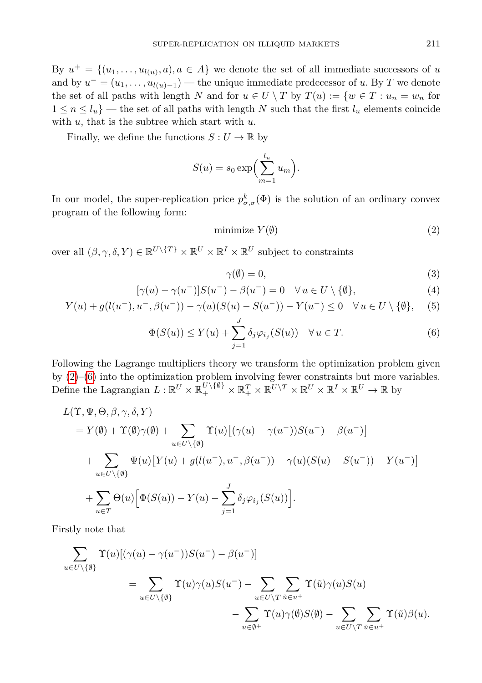By  $u^+ = \{(u_1, \ldots, u_{l(u)}, a), a \in A\}$  we denote the set of all immediate successors of *u* and by  $u^- = (u_1, \ldots, u_{l(u)-1})$  — the unique immediate predecessor of *u*. By *T* we denote the set of all paths with length *N* and for  $u \in U \setminus T$  by  $T(u) := \{w \in T : u_n = w_n \text{ for }$  $1 \leq n \leq l_u$  — the set of all paths with length *N* such that the first  $l_u$  elements coincide with *u*, that is the subtree which start with *u*.

Finally, we define the functions  $S: U \to \mathbb{R}$  by

$$
S(u) = s_0 \exp\left(\sum_{m=1}^{l_u} u_m\right).
$$

In our model, the super-replication price  $p_{\sigma,\overline{\sigma}}^k(\Phi)$  is the solution of an ordinary convex program of the following form:

<span id="page-4-0"></span>
$$
minimize Y(\emptyset) \tag{2}
$$

over all  $(\beta, \gamma, \delta, Y) \in \mathbb{R}^{U \setminus \{T\}} \times \mathbb{R}^U \times \mathbb{R}^I \times \mathbb{R}^U$  subject to constraints

<span id="page-4-1"></span>
$$
\gamma(\emptyset) = 0,\tag{3}
$$

$$
[\gamma(u) - \gamma(u^-)]S(u^-) - \beta(u^-) = 0 \quad \forall u \in U \setminus \{\emptyset\},\tag{4}
$$

$$
Y(u) + g(l(u^-), u^-, \beta(u^-)) - \gamma(u)(S(u) - S(u^-)) - Y(u^-) \le 0 \quad \forall u \in U \setminus \{\emptyset\}, \tag{5}
$$

$$
\Phi(S(u)) \le Y(u) + \sum_{j=1}^{J} \delta_j \varphi_{i_j}(S(u)) \quad \forall u \in T.
$$
\n(6)

Following the Lagrange multipliers theory we transform the optimization problem given by  $(2)$ – $(6)$  into the optimization problem involving fewer constraints but more variables. Define the Lagrangian  $L : \mathbb{R}^U \times \mathbb{R}^{U \setminus \{\emptyset\}}_+ \times \mathbb{R}^T_+ \times \mathbb{R}^{U \setminus T} \times \mathbb{R}^U \times \mathbb{R}^I \times \mathbb{R}^U \to \mathbb{R}$  by

$$
L(\Upsilon, \Psi, \Theta, \beta, \gamma, \delta, Y)
$$
  
=  $Y(\emptyset) + \Upsilon(\emptyset) \gamma(\emptyset) + \sum_{u \in U \setminus \{\emptyset\}} \Upsilon(u) \left[ (\gamma(u) - \gamma(u^-)) S(u^-) - \beta(u^-) \right]$   
+  $\sum_{u \in U \setminus \{\emptyset\}} \Psi(u) \left[ Y(u) + g(l(u^-), u^-, \beta(u^-)) - \gamma(u) (S(u) - S(u^-)) - Y(u^-) \right]$   
+  $\sum_{u \in T} \Theta(u) \left[ \Phi(S(u)) - Y(u) - \sum_{j=1}^J \delta_j \varphi_{i_j}(S(u)) \right].$ 

Firstly note that

$$
\sum_{u \in U \setminus \{\emptyset\}} \Upsilon(u) [(\gamma(u) - \gamma(u^-)) S(u^-) - \beta(u^-)]
$$
\n
$$
= \sum_{u \in U \setminus \{\emptyset\}} \Upsilon(u) \gamma(u) S(u^-) - \sum_{u \in U \setminus T} \sum_{\tilde{u} \in u^+} \Upsilon(\tilde{u}) \gamma(u) S(u)
$$
\n
$$
- \sum_{u \in \emptyset^+} \Upsilon(u) \gamma(\emptyset) S(\emptyset) - \sum_{u \in U \setminus T} \sum_{\tilde{u} \in u^+} \Upsilon(\tilde{u}) \beta(u).
$$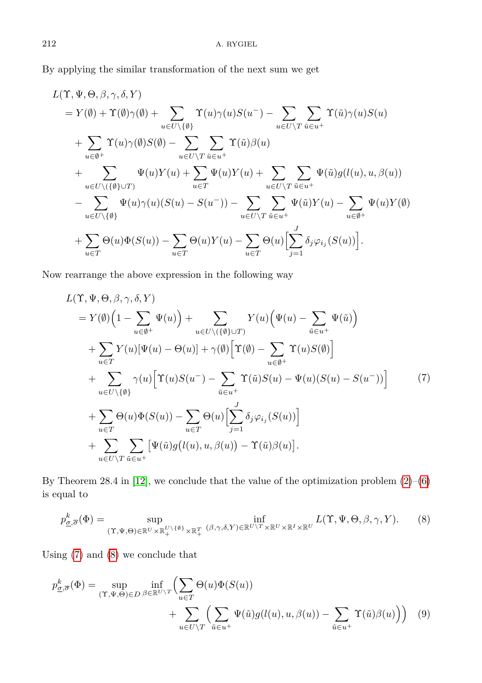By applying the similar transformation of the next sum we get

$$
L(\Upsilon, \Psi, \Theta, \beta, \gamma, \delta, Y)
$$
  
\n
$$
= Y(\emptyset) + \Upsilon(\emptyset)\gamma(\emptyset) + \sum_{u \in U \setminus \{\emptyset\}} \Upsilon(u)\gamma(u)S(u^{-}) - \sum_{u \in U \setminus T} \sum_{\tilde{u} \in u^{+}} \Upsilon(\tilde{u})\gamma(u)S(u)
$$
  
\n
$$
+ \sum_{u \in \emptyset^{+}} \Upsilon(u)\gamma(\emptyset)S(\emptyset) - \sum_{u \in U \setminus T} \sum_{\tilde{u} \in u^{+}} \Upsilon(\tilde{u})\beta(u)
$$
  
\n
$$
+ \sum_{u \in U \setminus (\{\emptyset\} \cup T)} \Psi(u)Y(u) + \sum_{u \in T} \Psi(u)Y(u) + \sum_{u \in U \setminus T} \sum_{\tilde{u} \in u^{+}} \Psi(\tilde{u})g(l(u), u, \beta(u))
$$
  
\n
$$
- \sum_{u \in U \setminus \{\emptyset\}} \Psi(u)\gamma(u)(S(u) - S(u^{-})) - \sum_{u \in U \setminus T} \sum_{\tilde{u} \in u^{+}} \Psi(\tilde{u})Y(u) - \sum_{u \in \emptyset^{+}} \Psi(u)Y(\emptyset)
$$
  
\n
$$
+ \sum_{u \in T} \Theta(u)\Phi(S(u)) - \sum_{u \in T} \Theta(u)Y(u) - \sum_{u \in T} \Theta(u) \Bigl[\sum_{j=1}^{J} \delta_{j} \varphi_{i_{j}}(S(u))\Bigr].
$$

Now rearrange the above expression in the following way

<span id="page-5-0"></span>
$$
L(\Upsilon, \Psi, \Theta, \beta, \gamma, \delta, Y)
$$
  
=  $Y(\emptyset) \Big( 1 - \sum_{u \in \emptyset^+} \Psi(u) \Big) + \sum_{u \in U \setminus (\{\emptyset\} \cup T)} Y(u) \Big( \Psi(u) - \sum_{\tilde{u} \in u^+} \Psi(\tilde{u}) \Big)$   
+  $\sum_{u \in T} Y(u) [\Psi(u) - \Theta(u)] + \gamma(\emptyset) \Big[ \Upsilon(\emptyset) - \sum_{u \in \emptyset^+} \Upsilon(u) S(\emptyset) \Big]$   
+  $\sum_{u \in U \setminus \{\emptyset\}} \gamma(u) \Big[ \Upsilon(u) S(u^-) - \sum_{\tilde{u} \in u^+} \Upsilon(\tilde{u}) S(u) - \Psi(u) (S(u) - S(u^-)) \Big]$  (7)  
+  $\sum_{u \in T} \Theta(u) \Phi(S(u)) - \sum_{u \in T} \Theta(u) \Big[ \sum_{j=1}^J \delta_j \varphi_{i_j} (S(u)) \Big]$   
+  $\sum_{u \in U \setminus T} \sum_{\tilde{u} \in u^+} \Big[ \Psi(\tilde{u}) g(l(u), u, \beta(u)) - \Upsilon(\tilde{u}) \beta(u) \Big].$ 

By Theorem 28.4 in [\[12\]](#page-11-11), we conclude that the value of the optimization problem  $(2)$ – $(6)$ is equal to

<span id="page-5-1"></span>
$$
p_{\underline{\sigma},\overline{\sigma}}^k(\Phi) = \sup_{(\Upsilon,\Psi,\Theta)\in\mathbb{R}^U\times\mathbb{R}_+^{U\backslash\{\emptyset\}}\times\mathbb{R}_+^T} (\beta,\gamma,\delta,Y)\in\mathbb{R}^{U\backslash T}\times\mathbb{R}^U\times\mathbb{R}^I\times\mathbb{R}^U} L(\Upsilon,\Psi,\Theta,\beta,\gamma,Y). \tag{8}
$$

Using [\(7\)](#page-5-0) and [\(8\)](#page-5-1) we conclude that

<span id="page-5-2"></span>
$$
p_{\underline{\sigma},\overline{\sigma}}^k(\Phi) = \sup_{(\Upsilon,\Psi,\Theta)\in D} \inf_{\beta \in \mathbb{R}^{U \setminus T}} \left( \sum_{u \in T} \Theta(u)\Phi(S(u)) + \sum_{u \in U \setminus T} \left( \sum_{\tilde{u} \in u^+} \Psi(\tilde{u})g(l(u), u, \beta(u)) - \sum_{\tilde{u} \in u^+} \Upsilon(\tilde{u})\beta(u) \right) \right) \tag{9}
$$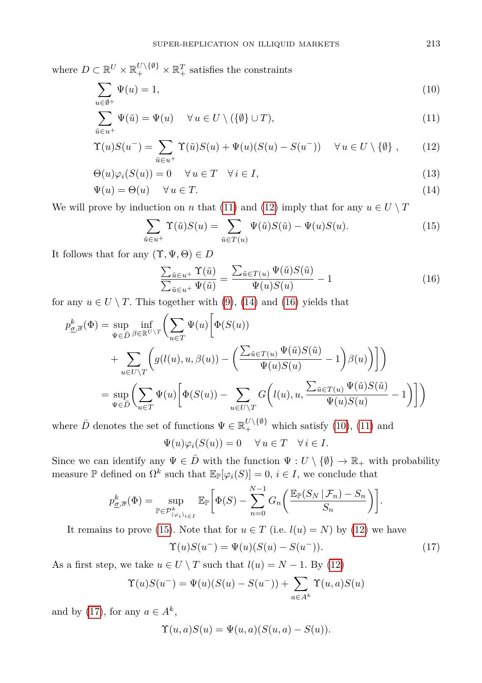where  $D \subset \mathbb{R}^U \times \mathbb{R}^{U\setminus\{\emptyset\}}_+ \times \mathbb{R}^T_+$  satisfies the constraints

$$
\sum_{u \in \emptyset^+} \Psi(u) = 1,\tag{10}
$$

$$
\sum_{\tilde{u}\in u^{+}} \Psi(\tilde{u}) = \Psi(u) \quad \forall u \in U \setminus (\{\emptyset\} \cup T), \tag{11}
$$

$$
\Upsilon(u)S(u^-) = \sum_{\tilde{u}\in u^+} \Upsilon(\tilde{u})S(u) + \Psi(u)(S(u) - S(u^-)) \quad \forall u \in U \setminus \{\emptyset\},\tag{12}
$$

$$
\Theta(u)\varphi_i(S(u)) = 0 \quad \forall u \in T \quad \forall i \in I,
$$
\n
$$
(13)
$$

$$
\Psi(u) = \Theta(u) \quad \forall u \in T. \tag{14}
$$

We will prove by induction on *n* that [\(11\)](#page-6-0) and [\(12\)](#page-6-1) imply that for any  $u \in U \setminus T$ 

<span id="page-6-4"></span><span id="page-6-1"></span><span id="page-6-0"></span>
$$
\sum_{\tilde{u}\in u^{+}} \Upsilon(\tilde{u})S(u) = \sum_{\tilde{u}\in T(u)} \Psi(\tilde{u})S(\tilde{u}) - \Psi(u)S(u). \tag{15}
$$

It follows that for any  $(\Upsilon, \Psi, \Theta) \in D$ 

<span id="page-6-5"></span><span id="page-6-3"></span><span id="page-6-2"></span>
$$
\frac{\sum_{\tilde{u}\in u^{+}} \Upsilon(\tilde{u})}{\sum_{\tilde{u}\in u^{+}} \Psi(\tilde{u})} = \frac{\sum_{\tilde{u}\in T(u)} \Psi(\tilde{u}) S(\tilde{u})}{\Psi(u) S(u)} - 1
$$
\n(16)

for any  $u \in U \setminus T$ . This together with [\(9\)](#page-5-2), [\(14\)](#page-6-2) and [\(16\)](#page-6-3) yields that

$$
p_{\underline{\sigma},\overline{\sigma}}^k(\Phi) = \sup_{\Psi \in \overline{D}} \inf_{\beta \in \mathbb{R}^{U \setminus T}} \left( \sum_{u \in T} \Psi(u) \left[ \Phi(S(u)) - \frac{\sum_{\tilde{u} \in T(u)} \Psi(\tilde{u}) S(\tilde{u})}{\Psi(u) S(u)} - 1 \right) \beta(u) \right) \right)
$$
  

$$
= \sup_{\Psi \in \overline{D}} \left( \sum_{u \in T} \Psi(u) \left[ \Phi(S(u)) - \sum_{u \in U \setminus T} G\left( l(u), u, \frac{\sum_{\tilde{u} \in T(u)} \Psi(\tilde{u}) S(\tilde{u})}{\Psi(u) S(u)} - 1 \right) \right] \right)
$$

where  $\bar{D}$  denotes the set of functions  $\Psi \in \mathbb{R}^{U\setminus\{\emptyset\}}_+$  which satisfy [\(10\)](#page-6-4), [\(11\)](#page-6-0) and  $\Psi(u)\varphi_i(S(u)) = 0 \quad \forall u \in T \quad \forall i \in I.$ 

Since we can identify any  $\Psi \in \overline{D}$  with the function  $\Psi : U \setminus {\emptyset} \to \mathbb{R}_+$  with probability measure  $\mathbb{P}$  defined on  $\Omega^k$  such that  $\mathbb{E}_{\mathbb{P}}[\varphi_i(S)] = 0, i \in I$ , we conclude that

$$
p_{\underline{\sigma},\overline{\sigma}}^k(\Phi) = \sup_{\mathbb{P} \in \mathcal{P}_{(\varphi_i)_{i \in I}}^k} \mathbb{E}_{\mathbb{P}} \bigg[ \Phi(S) - \sum_{n=0}^{N-1} G_n \bigg( \frac{\mathbb{E}_{\mathbb{P}}(S_N \mid \mathcal{F}_n) - S_n}{S_n} \bigg) \bigg].
$$

It remains to prove [\(15\)](#page-6-5). Note that for  $u \in T$  (i.e.  $l(u) = N$ ) by [\(12\)](#page-6-1) we have

<span id="page-6-6"></span>
$$
\Upsilon(u)S(u^-) = \Psi(u)(S(u) - S(u^-)).
$$
\n(17)

As a first step, we take  $u \in U \setminus T$  such that  $l(u) = N - 1$ . By [\(12\)](#page-6-1)

$$
\Upsilon(u)S(u^-) = \Psi(u)(S(u) - S(u^-)) + \sum_{a \in A^k} \Upsilon(u, a)S(u)
$$

and by [\(17\)](#page-6-6), for any  $a \in A^k$ ,

$$
\Upsilon(u,a)S(u) = \Psi(u,a)(S(u,a) - S(u)).
$$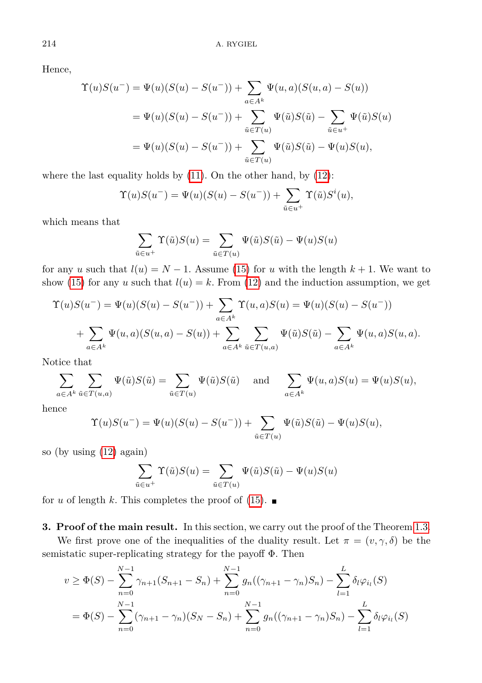Hence,

$$
\begin{split} \Upsilon(u)S(u^-) &= \Psi(u)(S(u) - S(u^-)) + \sum_{a \in A^k} \Psi(u, a)(S(u, a) - S(u)) \\ &= \Psi(u)(S(u) - S(u^-)) + \sum_{\tilde{u} \in T(u)} \Psi(\tilde{u})S(\tilde{u}) - \sum_{\tilde{u} \in u^+} \Psi(\tilde{u})S(u) \\ &= \Psi(u)(S(u) - S(u^-)) + \sum_{\tilde{u} \in T(u)} \Psi(\tilde{u})S(\tilde{u}) - \Psi(u)S(u), \end{split}
$$

where the last equality holds by [\(11\)](#page-6-0). On the other hand, by [\(12\)](#page-6-1):

$$
\Upsilon(u)S(u^-) = \Psi(u)(S(u) - S(u^-)) + \sum_{\tilde{u} \in u^+} \Upsilon(\tilde{u})S^i(u),
$$

which means that

$$
\sum_{\tilde{u}\in u^+}\Upsilon(\tilde{u})S(u)=\sum_{\tilde{u}\in T(u)}\Psi(\tilde{u})S(\tilde{u})-\Psi(u)S(u)
$$

for any *u* such that  $l(u) = N - 1$ . Assume [\(15\)](#page-6-5) for *u* with the length  $k + 1$ . We want to show [\(15\)](#page-6-5) for any *u* such that  $l(u) = k$ . From [\(12\)](#page-6-1) and the induction assumption, we get

$$
\Upsilon(u)S(u^{-}) = \Psi(u)(S(u) - S(u^{-})) + \sum_{a \in A^{k}} \Upsilon(u, a)S(u) = \Psi(u)(S(u) - S(u^{-}))
$$
  
+ 
$$
\sum_{a \in A^{k}} \Psi(u, a)(S(u, a) - S(u)) + \sum_{a \in A^{k}} \sum_{\tilde{u} \in T(u, a)} \Psi(\tilde{u})S(\tilde{u}) - \sum_{a \in A^{k}} \Psi(u, a)S(u, a).
$$

Notice that

$$
\sum_{a\in A^k} \sum_{\tilde{u}\in T(u,a)} \Psi(\tilde{u})S(\tilde{u}) = \sum_{\tilde{u}\in T(u)} \Psi(\tilde{u})S(\tilde{u}) \quad \text{ and } \quad \sum_{a\in A^k} \Psi(u,a)S(u) = \Psi(u)S(u),
$$

hence

$$
\Upsilon(u)S(u^-) = \Psi(u)(S(u) - S(u^-)) + \sum_{\tilde{u} \in T(u)} \Psi(\tilde{u})S(\tilde{u}) - \Psi(u)S(u),
$$

so (by using [\(12\)](#page-6-1) again)

$$
\sum_{\tilde{u}\in u^{+}} \Upsilon(\tilde{u})S(u) = \sum_{\tilde{u}\in T(u)} \Psi(\tilde{u})S(\tilde{u}) - \Psi(u)S(u)
$$

for *u* of length *k*. This completes the proof of [\(15\)](#page-6-5).

**3. Proof of the main result.** In this section, we carry out the proof of the Theorem [1.3.](#page-3-0)

We first prove one of the inequalities of the duality result. Let  $\pi = (v, \gamma, \delta)$  be the semistatic super-replicating strategy for the payoff Φ. Then

$$
v \ge \Phi(S) - \sum_{n=0}^{N-1} \gamma_{n+1}(S_{n+1} - S_n) + \sum_{n=0}^{N-1} g_n((\gamma_{n+1} - \gamma_n)S_n) - \sum_{l=1}^{L} \delta_l \varphi_{i_l}(S)
$$
  
=  $\Phi(S) - \sum_{n=0}^{N-1} (\gamma_{n+1} - \gamma_n)(S_N - S_n) + \sum_{n=0}^{N-1} g_n((\gamma_{n+1} - \gamma_n)S_n) - \sum_{l=1}^{L} \delta_l \varphi_{i_l}(S)$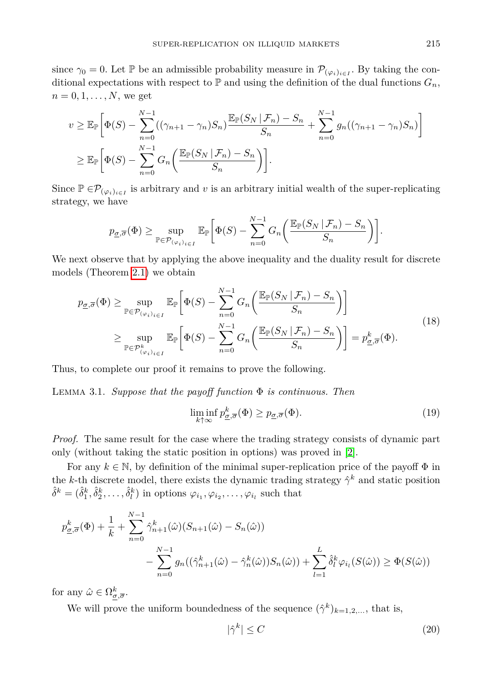since  $\gamma_0 = 0$ . Let P be an admissible probability measure in  $\mathcal{P}_{(\varphi_i)_{i \in I}}$ . By taking the conditional expectations with respect to  $\mathbb P$  and using the definition of the dual functions  $G_n$ ,  $n = 0, 1, \ldots, N$ , we get

$$
v \geq \mathbb{E}_{\mathbb{P}}\bigg[\Phi(S) - \sum_{n=0}^{N-1} ((\gamma_{n+1} - \gamma_n)S_n) \frac{\mathbb{E}_{\mathbb{P}}(S_N \mid \mathcal{F}_n) - S_n}{S_n} + \sum_{n=0}^{N-1} g_n((\gamma_{n+1} - \gamma_n)S_n)\bigg]
$$
  

$$
\geq \mathbb{E}_{\mathbb{P}}\bigg[\Phi(S) - \sum_{n=0}^{N-1} G_n\bigg(\frac{\mathbb{E}_{\mathbb{P}}(S_N \mid \mathcal{F}_n) - S_n}{S_n}\bigg)\bigg].
$$

Since  $\mathbb{P} \in \mathcal{P}_{(\varphi_i)_{i \in I}}$  is arbitrary and *v* is an arbitrary initial wealth of the super-replicating strategy, we have

<span id="page-8-1"></span>
$$
p_{\underline{\sigma},\overline{\sigma}}(\Phi) \geq \sup_{\mathbb{P}\in\mathcal{P}_{(\varphi_i)_{i\in I}}} \mathbb{E}_{\mathbb{P}}\bigg[\Phi(S) - \sum_{n=0}^{N-1} G_n\bigg(\frac{\mathbb{E}_{\mathbb{P}}(S_N \,|\, \mathcal{F}_n) - S_n}{S_n}\bigg)\bigg].
$$

We next observe that by applying the above inequality and the duality result for discrete models (Theorem [2.1\)](#page-3-1) we obtain

$$
p_{\underline{\sigma},\overline{\sigma}}(\Phi) \ge \sup_{\mathbb{P}\in\mathcal{P}_{(\varphi_i)_{i\in I}}} \mathbb{E}_{\mathbb{P}}\bigg[\Phi(S) - \sum_{n=0}^{N-1} G_n\bigg(\frac{\mathbb{E}_{\mathbb{P}}(S_N \mid \mathcal{F}_n) - S_n}{S_n}\bigg)\bigg]
$$
  

$$
\ge \sup_{\mathbb{P}\in\mathcal{P}_{(\varphi_i)_{i\in I}}^k} \mathbb{E}_{\mathbb{P}}\bigg[\Phi(S) - \sum_{n=0}^{N-1} G_n\bigg(\frac{\mathbb{E}_{\mathbb{P}}(S_N \mid \mathcal{F}_n) - S_n}{S_n}\bigg)\bigg] = p_{\underline{\sigma},\overline{\sigma}}^k(\Phi).
$$
 (18)

<span id="page-8-2"></span>Thus, to complete our proof it remains to prove the following.

Lemma 3.1. *Suppose that the payoff function* Φ *is continuous. Then*

$$
\liminf_{k \uparrow \infty} p_{\underline{\sigma}, \overline{\sigma}}^k(\Phi) \ge p_{\underline{\sigma}, \overline{\sigma}}(\Phi). \tag{19}
$$

*Proof.* The same result for the case where the trading strategy consists of dynamic part only (without taking the static position in options) was proved in [\[2\]](#page-11-9).

For any  $k \in \mathbb{N}$ , by definition of the minimal super-replication price of the payoff  $\Phi$  in the *k*-th discrete model, there exists the dynamic trading strategy  $\hat{\gamma}^k$  and static position  $\hat{\delta}^k = (\hat{\delta}^k_1, \hat{\delta}^k_2, \dots, \hat{\delta}^k_l)$  in options  $\varphi_{i_1}, \varphi_{i_2}, \dots, \varphi_{i_l}$  such that

$$
p_{\underline{\sigma},\overline{\sigma}}^k(\Phi) + \frac{1}{k} + \sum_{n=0}^{N-1} \hat{\gamma}_{n+1}^k(\hat{\omega})(S_{n+1}(\hat{\omega}) - S_n(\hat{\omega}))
$$
  

$$
- \sum_{n=0}^{N-1} g_n((\hat{\gamma}_{n+1}^k(\hat{\omega}) - \hat{\gamma}_n^k(\hat{\omega}))S_n(\hat{\omega})) + \sum_{l=1}^L \hat{\delta}_l^k \varphi_{i_l}(S(\hat{\omega})) \ge \Phi(S(\hat{\omega}))
$$

for any  $\hat{\omega} \in \Omega^k_{\sigma, \overline{\sigma}}$ .

We will prove the uniform boundedness of the sequence  $(\hat{\gamma}^k)_{k=1,2,...}$ , that is,

<span id="page-8-0"></span>
$$
|\hat{\gamma}^k| \le C \tag{20}
$$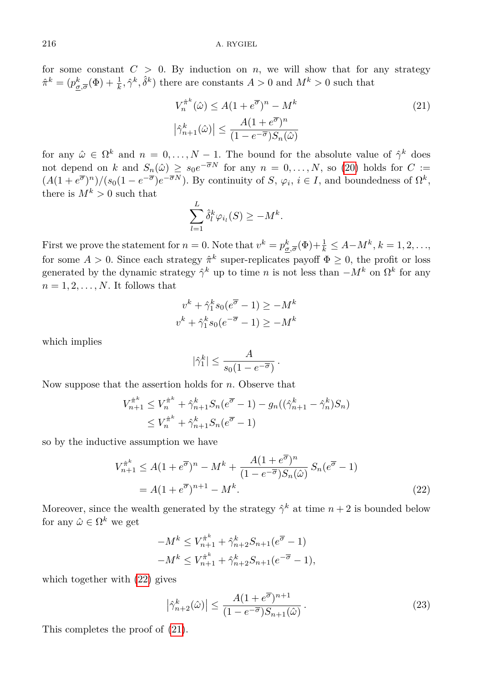for some constant  $C > 0$ . By induction on *n*, we will show that for any strategy  $\hat{\pi}^k = (p_{\underline{\sigma},\overline{\sigma}}^k(\Phi) + \frac{1}{k}, \hat{\gamma}^k, \hat{\delta}^k)$  there are constants  $A > 0$  and  $M^k > 0$  such that

<span id="page-9-1"></span>
$$
V_n^{\hat{\pi}^k}(\hat{\omega}) \le A(1 + e^{\overline{\sigma}})^n - M^k
$$
  

$$
|\hat{\gamma}_{n+1}^k(\hat{\omega})| \le \frac{A(1 + e^{\overline{\sigma}})^n}{(1 - e^{-\overline{\sigma}})S_n(\hat{\omega})}
$$
 (21)

for any  $\hat{\omega} \in \Omega^k$  and  $n = 0, \ldots, N-1$ . The bound for the absolute value of  $\hat{\gamma}^k$  does not depend on *k* and  $S_n(\hat{\omega}) \ge s_0 e^{-\overline{\sigma}N}$  for any  $n = 0, \ldots, N$ , so [\(20\)](#page-8-0) holds for  $C :=$  $(A(1 + e^{\overline{\sigma}})^n)/(s_0(1 - e^{-\overline{\sigma}})e^{-\overline{\sigma}N})$ . By continuity of *S*,  $\varphi_i$ ,  $i \in I$ , and boundedness of  $\Omega^k$ , there is  $M^k > 0$  such that

$$
\sum_{l=1}^L \hat{\delta}_l^k \varphi_{i_l}(S) \ge -M^k.
$$

First we prove the statement for  $n = 0$ . Note that  $v^k = p_{\underline{\sigma}, \overline{\sigma}}^k(\Phi) + \frac{1}{k} \leq A - M^k$ ,  $k = 1, 2, ...,$ for some  $A > 0$ . Since each strategy  $\hat{\pi}^k$  super-replicates payoff  $\Phi \geq 0$ , the profit or loss generated by the dynamic strategy  $\hat{\gamma}^k$  up to time *n* is not less than  $-M^k$  on  $\Omega^k$  for any  $n = 1, 2, \ldots, N$ . It follows that

$$
v^{k} + \hat{\gamma}_1^{k} s_0 (e^{\overline{\sigma}} - 1) \ge -M^k
$$
  

$$
v^{k} + \hat{\gamma}_1^{k} s_0 (e^{-\overline{\sigma}} - 1) \ge -M^k
$$

which implies

<span id="page-9-0"></span>
$$
|\hat{\gamma}_1^k| \le \frac{A}{s_0(1 - e^{-\overline{\sigma}})}.
$$

Now suppose that the assertion holds for *n*. Observe that

$$
V_{n+1}^{\hat{\pi}^k} \le V_n^{\hat{\pi}^k} + \hat{\gamma}_{n+1}^k S_n(e^{\overline{\sigma}} - 1) - g_n((\hat{\gamma}_{n+1}^k - \hat{\gamma}_n^k)S_n)
$$
  

$$
\le V_n^{\hat{\pi}^k} + \hat{\gamma}_{n+1}^k S_n(e^{\overline{\sigma}} - 1)
$$

so by the inductive assumption we have

$$
V_{n+1}^{\hat{\pi}^k} \le A(1 + e^{\overline{\sigma}})^n - M^k + \frac{A(1 + e^{\overline{\sigma}})^n}{(1 - e^{-\overline{\sigma}})S_n(\hat{\omega})} S_n(e^{\overline{\sigma}} - 1)
$$
  
=  $A(1 + e^{\overline{\sigma}})^{n+1} - M^k$ . (22)

Moreover, since the wealth generated by the strategy  $\hat{\gamma}^k$  at time  $n+2$  is bounded below for any  $\hat{\omega} \in \Omega^k$  we get

$$
-M^{k} \le V_{n+1}^{\hat{\pi}^{k}} + \hat{\gamma}_{n+2}^{k} S_{n+1}(e^{\overline{\sigma}} - 1)
$$
  

$$
-M^{k} \le V_{n+1}^{\hat{\pi}^{k}} + \hat{\gamma}_{n+2}^{k} S_{n+1}(e^{-\overline{\sigma}} - 1),
$$

which together with [\(22\)](#page-9-0) gives

$$
\left|\hat{\gamma}_{n+2}^k(\hat{\omega})\right| \le \frac{A(1+e^{\overline{\sigma}})^{n+1}}{(1-e^{-\overline{\sigma}})S_{n+1}(\hat{\omega})}.
$$
\n(23)

This completes the proof of [\(21\)](#page-9-1).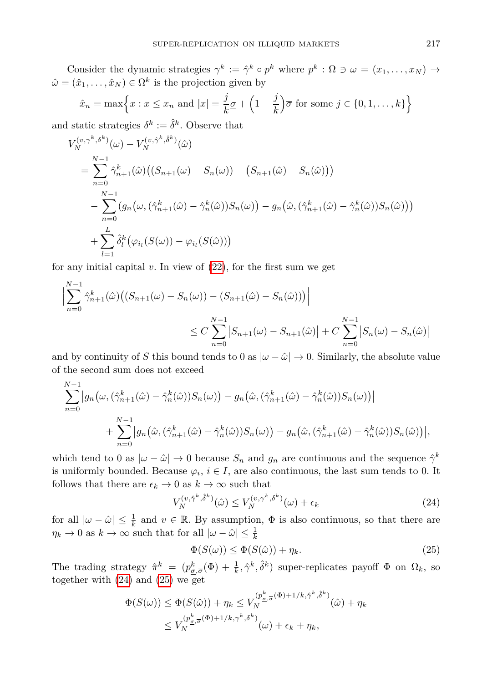Consider the dynamic strategies  $\gamma^k := \hat{\gamma}^k \circ p^k$  where  $p^k : \Omega \ni \omega = (x_1, \ldots, x_N) \rightarrow$  $\hat{\omega} = (\hat{x}_1, \dots, \hat{x}_N) \in \Omega^k$  is the projection given by

$$
\hat{x}_n = \max\left\{x : x \le x_n \text{ and } |x| = \frac{j}{k}\underline{\sigma} + \left(1 - \frac{j}{k}\right)\overline{\sigma} \text{ for some } j \in \{0, 1, \dots, k\}\right\}
$$

and static strategies  $\delta^k := \hat{\delta}^k$ . Observe that

$$
V_N^{(v,\gamma^k,\delta^k)}(\omega) - V_N^{(v,\gamma^k,\delta^k)}(\hat{\omega})
$$
  
= 
$$
\sum_{n=0}^{N-1} \hat{\gamma}_{n+1}^k(\hat{\omega}) \big( (S_{n+1}(\omega) - S_n(\omega)) - (S_{n+1}(\hat{\omega}) - S_n(\hat{\omega})) \big)
$$
  
- 
$$
\sum_{n=0}^{N-1} (g_n(\omega, (\hat{\gamma}_{n+1}^k(\hat{\omega}) - \hat{\gamma}_n^k(\hat{\omega})) S_n(\omega)) - g_n(\hat{\omega}, (\hat{\gamma}_{n+1}^k(\hat{\omega}) - \hat{\gamma}_n^k(\hat{\omega})) S_n(\hat{\omega})) \big)
$$
  
+ 
$$
\sum_{l=1}^L \hat{\delta}_l^k (\varphi_{i_l}(S(\omega)) - \varphi_{i_l}(S(\hat{\omega})) )
$$

for any initial capital  $v$ . In view of  $(22)$ , for the first sum we get

$$
\left| \sum_{n=0}^{N-1} \hat{\gamma}_{n+1}^{k}(\hat{\omega}) \big( (S_{n+1}(\omega) - S_n(\omega)) - (S_{n+1}(\hat{\omega}) - S_n(\hat{\omega})) \big) \right|
$$
  

$$
\leq C \sum_{n=0}^{N-1} |S_{n+1}(\omega) - S_{n+1}(\hat{\omega})| + C \sum_{n=0}^{N-1} |S_n(\omega) - S_n(\hat{\omega})|
$$

and by continuity of *S* this bound tends to 0 as  $|\omega - \hat{\omega}| \to 0$ . Similarly, the absolute value of the second sum does not exceed

$$
\sum_{n=0}^{N-1} |g_n(\omega,(\hat{\gamma}_{n+1}^k(\hat{\omega}) - \hat{\gamma}_n^k(\hat{\omega}))S_n(\omega)) - g_n(\hat{\omega},(\hat{\gamma}_{n+1}^k(\hat{\omega}) - \hat{\gamma}_n^k(\hat{\omega}))S_n(\omega))|
$$
  
+ 
$$
\sum_{n=0}^{N-1} |g_n(\hat{\omega},(\hat{\gamma}_{n+1}^k(\hat{\omega}) - \hat{\gamma}_n^k(\hat{\omega}))S_n(\omega)) - g_n(\hat{\omega},(\hat{\gamma}_{n+1}^k(\hat{\omega}) - \hat{\gamma}_n^k(\hat{\omega}))S_n(\hat{\omega}))|,
$$

which tend to 0 as  $|\omega - \hat{\omega}| \to 0$  because  $S_n$  and  $g_n$  are continuous and the sequence  $\hat{\gamma}^k$ is uniformly bounded. Because  $\varphi_i$ ,  $i \in I$ , are also continuous, the last sum tends to 0. It follows that there are  $\epsilon_k \to 0$  as  $k \to \infty$  such that

<span id="page-10-0"></span>
$$
V_N^{(v,\hat{\gamma}^k,\hat{\delta}^k)}(\hat{\omega}) \le V_N^{(v,\hat{\gamma}^k,\delta^k)}(\omega) + \epsilon_k
$$
\n(24)

for all  $|\omega - \hat{\omega}| \leq \frac{1}{k}$  and  $v \in \mathbb{R}$ . By assumption,  $\Phi$  is also continuous, so that there are  $\eta_k \to 0$  as  $k \to \infty$  such that for all  $|\omega - \hat{\omega}| \leq \frac{1}{k}$ 

<span id="page-10-1"></span>
$$
\Phi(S(\omega)) \le \Phi(S(\hat{\omega})) + \eta_k. \tag{25}
$$

The trading strategy  $\hat{\pi}^k = (p_{\underline{\sigma},\overline{\sigma}}^k(\Phi) + \frac{1}{k}, \hat{\gamma}^k, \hat{\delta}^k)$  super-replicates payoff  $\Phi$  on  $\Omega_k$ , so together with  $(24)$  and  $(25)$  we get

$$
\Phi(S(\omega)) \leq \Phi(S(\hat{\omega})) + \eta_k \leq V_N^{(p_{\underline{\sigma},\overline{\sigma}}^k(\Phi) + 1/k, \hat{\gamma}^k, \hat{\delta}^k)}(\hat{\omega}) + \eta_k
$$
  

$$
\leq V_N^{(p_{\underline{\sigma},\overline{\sigma}}^k(\Phi) + 1/k, \gamma^k, \delta^k)}(\omega) + \epsilon_k + \eta_k,
$$